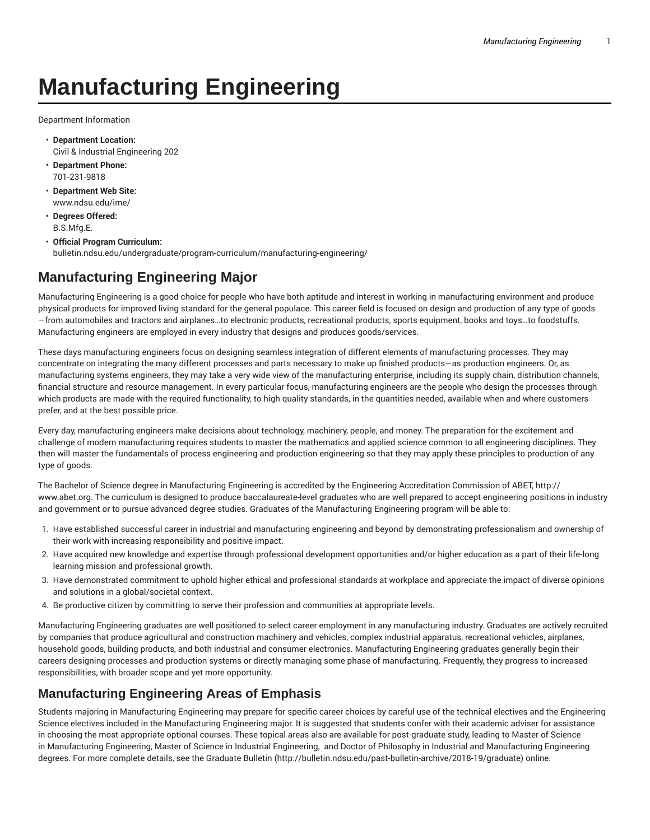# **Manufacturing Engineering**

Department Information

- **Department Location:** Civil & Industrial Engineering 202
- **Department Phone:** 701-231-9818
- **Department Web Site:** www.ndsu.edu/ime/
- **Degrees Offered:** B.S.Mfg.E.
- **Official Program Curriculum:** bulletin.ndsu.edu/undergraduate/program-curriculum/manufacturing-engineering/

#### **Manufacturing Engineering Major**

Manufacturing Engineering is a good choice for people who have both aptitude and interest in working in manufacturing environment and produce physical products for improved living standard for the general populace. This career field is focused on design and production of any type of goods —from automobiles and tractors and airplanes…to electronic products, recreational products, sports equipment, books and toys…to foodstuffs. Manufacturing engineers are employed in every industry that designs and produces goods/services.

These days manufacturing engineers focus on designing seamless integration of different elements of manufacturing processes. They may concentrate on integrating the many different processes and parts necessary to make up finished products—as production engineers. Or, as manufacturing systems engineers, they may take a very wide view of the manufacturing enterprise, including its supply chain, distribution channels, financial structure and resource management. In every particular focus, manufacturing engineers are the people who design the processes through which products are made with the required functionality, to high quality standards, in the quantities needed, available when and where customers prefer, and at the best possible price.

Every day, manufacturing engineers make decisions about technology, machinery, people, and money. The preparation for the excitement and challenge of modern manufacturing requires students to master the mathematics and applied science common to all engineering disciplines. They then will master the fundamentals of process engineering and production engineering so that they may apply these principles to production of any type of goods.

The Bachelor of Science degree in Manufacturing Engineering is accredited by the Engineering Accreditation Commission of ABET, http:// www.abet.org. The curriculum is designed to produce baccalaureate-level graduates who are well prepared to accept engineering positions in industry and government or to pursue advanced degree studies. Graduates of the Manufacturing Engineering program will be able to:

- 1. Have established successful career in industrial and manufacturing engineering and beyond by demonstrating professionalism and ownership of their work with increasing responsibility and positive impact.
- 2. Have acquired new knowledge and expertise through professional development opportunities and/or higher education as a part of their life-long learning mission and professional growth.
- 3. Have demonstrated commitment to uphold higher ethical and professional standards at workplace and appreciate the impact of diverse opinions and solutions in a global/societal context.
- 4. Be productive citizen by committing to serve their profession and communities at appropriate levels.

Manufacturing Engineering graduates are well positioned to select career employment in any manufacturing industry. Graduates are actively recruited by companies that produce agricultural and construction machinery and vehicles, complex industrial apparatus, recreational vehicles, airplanes, household goods, building products, and both industrial and consumer electronics. Manufacturing Engineering graduates generally begin their careers designing processes and production systems or directly managing some phase of manufacturing. Frequently, they progress to increased responsibilities, with broader scope and yet more opportunity.

#### **Manufacturing Engineering Areas of Emphasis**

Students majoring in Manufacturing Engineering may prepare for specific career choices by careful use of the technical electives and the Engineering Science electives included in the Manufacturing Engineering major. It is suggested that students confer with their academic adviser for assistance in choosing the most appropriate optional courses. These topical areas also are available for post-graduate study, leading to Master of Science in Manufacturing Engineering, Master of Science in Industrial Engineering, and Doctor of Philosophy in Industrial and Manufacturing Engineering degrees. For more complete details, see the Graduate Bulletin (http://bulletin.ndsu.edu/past-bulletin-archive/2018-19/graduate) online.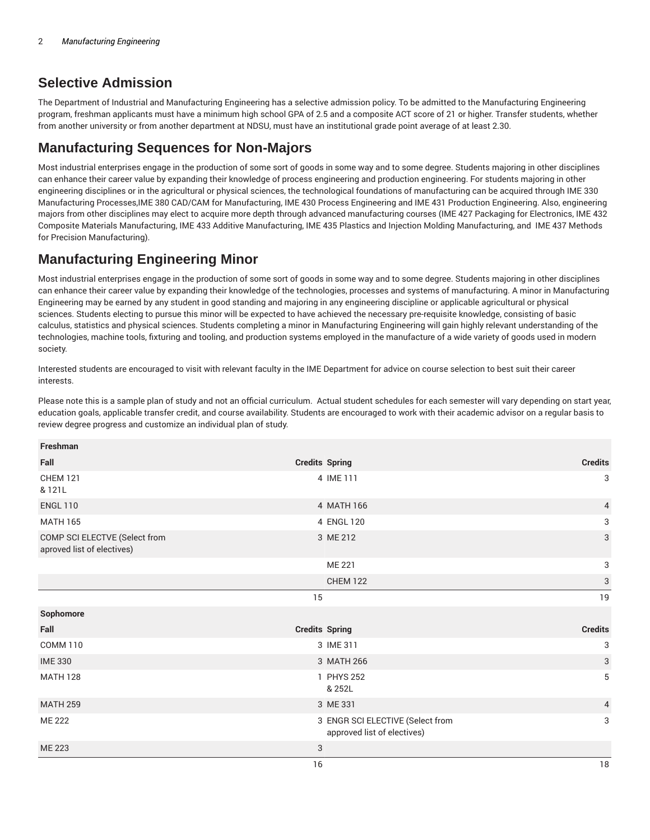#### **Selective Admission**

The Department of Industrial and Manufacturing Engineering has a selective admission policy. To be admitted to the Manufacturing Engineering program, freshman applicants must have a minimum high school GPA of 2.5 and a composite ACT score of 21 or higher. Transfer students, whether from another university or from another department at NDSU, must have an institutional grade point average of at least 2.30.

### **Manufacturing Sequences for Non-Majors**

Most industrial enterprises engage in the production of some sort of goods in some way and to some degree. Students majoring in other disciplines can enhance their career value by expanding their knowledge of process engineering and production engineering. For students majoring in other engineering disciplines or in the agricultural or physical sciences, the technological foundations of manufacturing can be acquired through IME 330 Manufacturing Processes,IME 380 CAD/CAM for Manufacturing, IME 430 Process Engineering and IME 431 Production Engineering. Also, engineering majors from other disciplines may elect to acquire more depth through advanced manufacturing courses (IME 427 Packaging for Electronics, IME 432 Composite Materials Manufacturing, IME 433 Additive Manufacturing, IME 435 Plastics and Injection Molding Manufacturing, and IME 437 Methods for Precision Manufacturing).

## **Manufacturing Engineering Minor**

Most industrial enterprises engage in the production of some sort of goods in some way and to some degree. Students majoring in other disciplines can enhance their career value by expanding their knowledge of the technologies, processes and systems of manufacturing. A minor in Manufacturing Engineering may be earned by any student in good standing and majoring in any engineering discipline or applicable agricultural or physical sciences. Students electing to pursue this minor will be expected to have achieved the necessary pre-requisite knowledge, consisting of basic calculus, statistics and physical sciences. Students completing a minor in Manufacturing Engineering will gain highly relevant understanding of the technologies, machine tools, fixturing and tooling, and production systems employed in the manufacture of a wide variety of goods used in modern society.

Interested students are encouraged to visit with relevant faculty in the IME Department for advice on course selection to best suit their career interests.

Please note this is a sample plan of study and not an official curriculum. Actual student schedules for each semester will vary depending on start year, education goals, applicable transfer credit, and course availability. Students are encouraged to work with their academic advisor on a regular basis to review degree progress and customize an individual plan of study.

| Freshman                                                    |                                                                 |                |
|-------------------------------------------------------------|-----------------------------------------------------------------|----------------|
| Fall                                                        | <b>Credits Spring</b>                                           | <b>Credits</b> |
| <b>CHEM 121</b><br>& 121L                                   | 4 IME 111                                                       | 3              |
| <b>ENGL 110</b>                                             | 4 MATH 166                                                      | 4              |
| <b>MATH 165</b>                                             | 4 ENGL 120                                                      | 3              |
| COMP SCI ELECTVE (Select from<br>aproved list of electives) | 3 ME 212                                                        | 3              |
|                                                             | ME 221                                                          | 3              |
|                                                             | <b>CHEM 122</b>                                                 | 3              |
|                                                             | 15                                                              | 19             |
| Sophomore                                                   |                                                                 |                |
| Fall                                                        | <b>Credits Spring</b>                                           | <b>Credits</b> |
| <b>COMM 110</b>                                             | 3 IME 311                                                       | 3              |
| <b>IME 330</b>                                              | 3 MATH 266                                                      | 3              |
| <b>MATH 128</b>                                             | 1 PHYS 252<br>& 252L                                            | 5              |
| <b>MATH 259</b>                                             | 3 ME 331                                                        | $\overline{4}$ |
| <b>ME 222</b>                                               | 3 ENGR SCI ELECTIVE (Select from<br>approved list of electives) | 3              |
| <b>ME 223</b>                                               | 3                                                               |                |
|                                                             | 16                                                              | 18             |